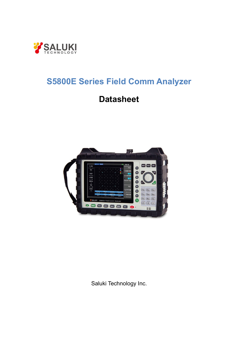

# **S5800E Series Field Comm Analyzer**

# **Datasheet**



Saluki Technology Inc.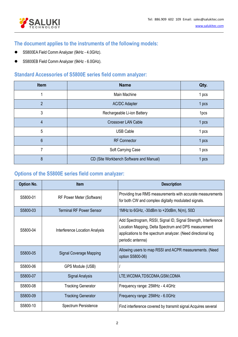

# **The document applies to the instruments of the following models:**

- S5800EA Field Comm Analyzer (9kHz 4.0GHz).
- S5800EB Field Comm Analyzer (9kHz 6.0GHz).

## **Standard Accessories of S5800E series field comm analyzer:**

| Item           | <b>Name</b>                             | Qty.  |
|----------------|-----------------------------------------|-------|
|                | Main Machine                            | 1 pcs |
| $\overline{2}$ | <b>AC/DC Adapter</b>                    | 1 pcs |
| 3              | Rechargeable Li-ion Battery             | 1pcs  |
| 4              | Crossover LAN Cable                     | 1 pcs |
| 5              | <b>USB Cable</b>                        | 1 pcs |
| 6              | <b>RF Connector</b>                     | 1 pcs |
| 7              | Soft Carrying Case                      | 1 pcs |
| 8              | CD (Site Workbench Software and Manual) | 1 pcs |

## **Options of the S5800E series field comm analyzer:**

| <b>Option No.</b> | <b>Item</b>                     | <b>Description</b>                                                                                                                                                                                           |
|-------------------|---------------------------------|--------------------------------------------------------------------------------------------------------------------------------------------------------------------------------------------------------------|
| S5800-01          | RF Power Meter (Software)       | Providing true RMS measurements with accurate measurements<br>for both CW and complex digitally modulated signals.                                                                                           |
| S5800-03          | <b>Terminal RF Power Sensor</b> | 1MHz to 6GHz, -30dBm to +20dBm, N(m), $50\Omega$                                                                                                                                                             |
| S5800-04          | Interference Location Analysis  | Add Spectrogram, RSSI, Signal ID, Signal Strength, Interference<br>Location Mapping, Delta Spectrum and DPS measurement<br>applications to the spectrum analyzer. (Need directional log<br>periodic antenna) |
| S5800-05          | <b>Signal Coverage Mapping</b>  | Allowing users to map RSSI and ACPR measurements. (Need<br>option S5800-06)                                                                                                                                  |
| S5800-06          | GPS Module (USB)                |                                                                                                                                                                                                              |
| S5800-07          | <b>Signal Analysis</b>          | LTE,WCDMA,TDSCDMA,GSM,CDMA                                                                                                                                                                                   |
| S5800-08          | <b>Tracking Generator</b>       | Frequency range: 25MHz - 4.4GHz                                                                                                                                                                              |
| S5800-09          | <b>Tracking Generator</b>       | Frequency range: 25MHz - 6.0GHz                                                                                                                                                                              |
| S5800-10          | Spectrum Persistence            | Find interference covered by transmit signal Acquires several                                                                                                                                                |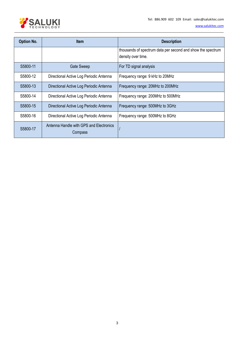

| <b>Option No.</b> | <b>Item</b>                                        | <b>Description</b>                                                                |
|-------------------|----------------------------------------------------|-----------------------------------------------------------------------------------|
|                   |                                                    | thousands of spectrum data per second and show the spectrum<br>density over time. |
| S5800-11          | <b>Gate Sweep</b>                                  | For TD signal analysis                                                            |
| S5800-12          | Directional Active Log Periodic Antenna            | Frequency range: 9 kHz to 20MHz                                                   |
| S5800-13          | Directional Active Log Periodic Antenna            | Frequency range: 20MHz to 200MHz                                                  |
| S5800-14          | Directional Active Log Periodic Antenna            | Frequency range: 200MHz to 500MHz                                                 |
| S5800-15          | Directional Active Log Periodic Antenna            | Frequency range: 500MHz to 3GHz                                                   |
| S5800-16          | Directional Active Log Periodic Antenna            | Frequency range: 500MHz to 8GHz                                                   |
| S5800-17          | Antenna Handle with GPS and Electronics<br>Compass |                                                                                   |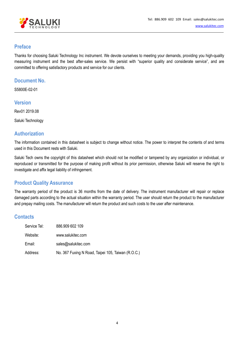

#### **Preface**

Thanks for choosing Saluki Technology Inc instrument. We devote ourselves to meeting your demands, providing you high-quality measuring instrument and the best after-sales service. We persist with "superior quality and considerate service", and are committed to offering satisfactory products and service for our clients.

#### **Document No.**

S5800E-02-01

#### **Version**

Rev01 2019.08

Saluki Technology

#### **Authorization**

The information contained in this datasheet is subject to change without notice. The power to interpret the contents ofand terms used in this Document rests with Saluki.

Saluki Tech owns the copyright of this datasheet which should not be modified or tampered by any organization or individual, or reproduced or transmitted for the purpose of making profit without its prior permission, otherwise Saluki will reserve the right to investigate and affix legal liability of infringement.

#### **Product Quality Assurance**

The warranty period of the product is 36 months from the date of delivery. The instrument manufacturer will repair or replace damaged parts according to the actual situation within the warranty period. The user should return the product to the manufacturer and prepay mailing costs. The manufacturer will return the product and such costs to the user after maintenance.

#### **Contacts**

| Service Tel: | 886.909 602 109                                    |
|--------------|----------------------------------------------------|
| Website:     | www.salukitec.com                                  |
| Email:       | sales@salukitec.com                                |
| Address:     | No. 367 Fuxing N Road, Taipei 105, Taiwan (R.O.C.) |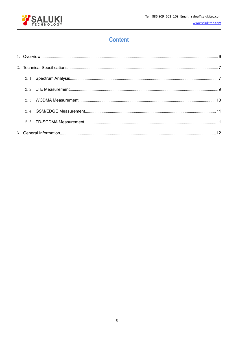

# **Content**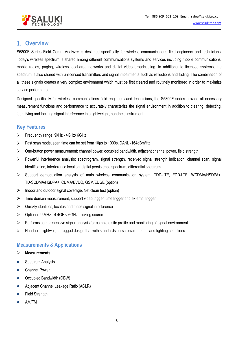

### <span id="page-5-0"></span>1. **Overview**

S5800E Series Field Comm Analyzer is designed specifically for wireless communications field engineers and technicians. Today's wireless spectrum is shared among different communications systems and services including mobile communications, mobile radios, paging, wireless local-area networks and digital video broadcasting. In additional to licensed systems, the spectrum is also shared with unlicensed transmitters and signal impairments such as reflections and fading. The combination of all these signals creates a very complex environment which must be first cleared and routinely monitored in order to maximize service performance.

Designed specifically for wireless communications field engineers and technicians, the S5800E series provide all necessary measurement functions and performance to accurately characterize the signal environment in addition to clearing, detecting, identifying and locating signal interference in a lightweight, handheld instrument.

#### **Key Features**

- Frequency range: 9kHz 4GHz/ 6GHz
- Fast scan mode, scan time can be set from 10μs to 1000s, DANL -164dBm/Hz
- $\triangleright$  One-button power measurement: channel power, occupied bandwidth, adjacent channel power, field strength
- $\triangleright$  Powerful interference analysis: spectrogram, signal strength, received signal strength indication, channel scan, signal identification, interference location, digital persistence spectrum, differential spectrum
- Support demodulation analysis of main wireless communication system: TDD-LTE, FDD-LTE, WCDMA/HSDPA+, TD-SCDMA/HSDPA+, CDMA/EVDO, GSM/EDGE (option)
- $\triangleright$  Indoor and outdoor signal coverage, Net clean test (option)
- $\triangleright$  Time domain measurement, support video trigger, time trigger and external trigger
- $\triangleright$  Quickly identifies, locates and maps signal interference
- Optional 25MHz 4.4GHz/ 6GHz tracking source
- $\triangleright$  Performs comprehensive signal analysis for complete site profile and monitoring of signal environment
- $\triangleright$  Handheld, lightweight, rugged design that with standards harsh environments and lighting conditions

#### **Measurements & Applications**

#### **Measurements**

- Spectrum Analysis
- Channel Power
- Occupied Bandwidth (OBW)
- **•** Adjacent Channel Leakage Ratio (ACLR)
- **•** Field Strength
- AM/FM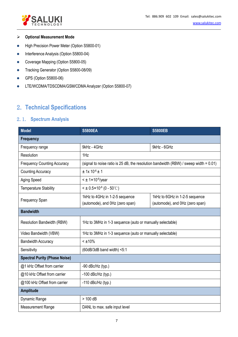

#### **▶ Optional Measurement Mode**

- **•** High Precision Power Meter (Option S5800-01)
- Interference Analysis (Option S5800-04)
- Coverage Mapping (Option S5800-05)
- **•** Tracking Generator (Option S5800-08/09)
- GPS (Option S5800-06)
- **•** LTE/WCDMA/TDSCDMA/GSM/CDMA Analyzer (Option S5800-07)

# <span id="page-6-0"></span>2. **Technical Specifications**

#### <span id="page-6-1"></span>2.1. **Spectrum Analysis**

| <b>Model</b>                         | <b>S5800EA</b>                                                                        | <b>S5800EB</b>                  |  |
|--------------------------------------|---------------------------------------------------------------------------------------|---------------------------------|--|
| <b>Frequency</b>                     |                                                                                       |                                 |  |
| Frequency range                      | 9kHz - 4GHz                                                                           | 9kHz - 6GHz                     |  |
| Resolution                           | 1Hz                                                                                   |                                 |  |
| <b>Frequency Counting Accuracy</b>   | (signal to noise ratio is 25 dB, the resolution bandwidth (RBW) / sweep width = 0.01) |                                 |  |
| <b>Counting Accuracy</b>             | $± 1x 10^{-6}± 1$                                                                     |                                 |  |
| Aging Speed                          | $\leq$ $\pm$ 1×10 <sup>-6</sup> /year                                                 |                                 |  |
| <b>Temperature Stability</b>         | $<$ ± 0.5×10 <sup>-6</sup> (0 - 50°C)                                                 |                                 |  |
| Frequency Span                       | 1kHz to 4GHz in 1-2-5 sequence                                                        | 1kHz to 6GHz in 1-2-5 sequence  |  |
|                                      | (automode), and OHz (zero span)                                                       | (automode), and OHz (zero span) |  |
| <b>Bandwidth</b>                     |                                                                                       |                                 |  |
| Resolution Bandwidth (RBW)           | 1Hz to 3MHz in 1-3 sequence (auto or manually selectable)                             |                                 |  |
| Video Bandwidth (VBW)                | 1Hz to 3MHz in 1-3 sequence (auto or manually selectable)                             |                                 |  |
| <b>Bandwidth Accuracy</b>            | $< \pm 10\%$                                                                          |                                 |  |
| Sensitivity                          | (60dB/3dB band width) <5:1                                                            |                                 |  |
| <b>Spectral Purity (Phase Noise)</b> |                                                                                       |                                 |  |
| @1 kHz Offset from carrier           | -90 $dBc/Hz$ (typ.)                                                                   |                                 |  |
| @10 kHz Offset from carrier          | $-100$ dBc/Hz (typ.)                                                                  |                                 |  |
| @100 kHz Offset from carrier         | $-110$ dBc/Hz (typ.)                                                                  |                                 |  |
| <b>Amplitude</b>                     |                                                                                       |                                 |  |
| Dynamic Range                        | $> 100$ dB                                                                            |                                 |  |
| <b>Measurement Range</b>             | DANL to max. safe input level                                                         |                                 |  |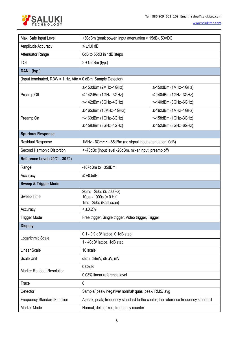

| Max. Safe Input Level                                         | +30dBm (peak power, input attenuation > 15dB), 50VDC                             |                            |  |
|---------------------------------------------------------------|----------------------------------------------------------------------------------|----------------------------|--|
| Amplitude Accuracy                                            | $\leq \pm 1.0$ dB                                                                |                            |  |
| Attenuator Range                                              | 0dB to 55dB in 1dB steps                                                         |                            |  |
| <b>TOI</b>                                                    | $> +15$ dBm (typ.)                                                               |                            |  |
| DANL (typ.)                                                   |                                                                                  |                            |  |
| (Input terminated, RBW = 1 Hz, Attn = 0 dBm, Sample Detector) |                                                                                  |                            |  |
|                                                               | $\leq$ -150dBm (2MHz-1GHz)                                                       | $\leq$ -150dBm (1MHz-1GHz) |  |
| Preamp Off                                                    | $\leq$ -142dBm (1GHz-3GHz)                                                       | $\leq$ -140dBm (1GHz-3GHz) |  |
|                                                               | $\leq$ -142dBm (3GHz-4GHz)                                                       | $\leq$ -140dBm (3GHz-6GHz) |  |
|                                                               | $\leq$ -165dBm (10MHz-1GHz)                                                      | $\leq$ -162dBm (1MHz-1GHz) |  |
| Preamp On                                                     | $\leq$ -160dBm (1GHz-3GHz)                                                       | $\leq$ -158dBm (1GHz-3GHz) |  |
|                                                               | $\leq$ -158dBm (3GHz-4GHz)                                                       | $\leq$ -152dBm (3GHz-6GHz) |  |
| <b>Spurious Response</b>                                      |                                                                                  |                            |  |
| <b>Residual Response</b>                                      | 1MHz - 6GHz: ≤ -85dBm (no signal input attenuation, 0dB)                         |                            |  |
| Second Harmonic Distortion                                    | <-70dBc (input level -20dBm, mixer input, preamp off)                            |                            |  |
| Reference Level (20°C - 30°C)                                 |                                                                                  |                            |  |
| Range                                                         | $-167$ dBm to $+35$ dBm                                                          |                            |  |
| Accuracy                                                      | $\leq \pm 0.5$ dB                                                                |                            |  |
| <b>Sweep &amp; Trigger Mode</b>                               |                                                                                  |                            |  |
| Sweep Time                                                    | 20ms - 250s ( $\geq$ 200 Hz)<br>$10\mu s - 1000s (= 0 Hz)$                       |                            |  |
|                                                               | 1ms - 250s (Fast scan)                                                           |                            |  |
| Accuracy                                                      | $< \pm 0.2\%$                                                                    |                            |  |
| <b>Trigger Mode</b>                                           | Free trigger, Single trigger, Video trigger, Trigger                             |                            |  |
| <b>Display</b>                                                |                                                                                  |                            |  |
| Logarithmic Scale                                             | 0.1 - 0.9 dB/ lattice, 0.1dB step;                                               |                            |  |
|                                                               | 1 - 40dB/ lattice, 1dB step                                                      |                            |  |
| Linear Scale                                                  | 10 scale                                                                         |                            |  |
| Scale Unit                                                    | dBm, dBmV, dBµV, mV                                                              |                            |  |
|                                                               | 0.03dB                                                                           |                            |  |
| <b>Marker Readout Resolution</b>                              | 0.03% linear reference level                                                     |                            |  |
| Trace                                                         | 6                                                                                |                            |  |
| Detector                                                      | Sample/ peak/ negative/ normal/ quasi peak/ RMS/ avg                             |                            |  |
| <b>Frequency Standard Function</b>                            | A peak, peak, frequency standard to the center, the reference frequency standard |                            |  |
| Marker Mode                                                   | Normal, delta, fixed, frequency counter                                          |                            |  |
|                                                               |                                                                                  |                            |  |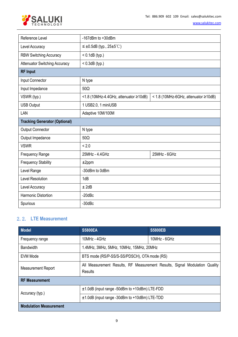

| Reference Level                      | $-167$ dBm to $+30$ dBm                        |                                      |  |
|--------------------------------------|------------------------------------------------|--------------------------------------|--|
| Level Accuracy                       | $\leq \pm 0.5$ dB (typ., 25 $\pm 5^{\circ}$ C) |                                      |  |
| <b>RBW Switching Accuracy</b>        | $< 0.1$ dB (typ.)                              |                                      |  |
| <b>Attenuator Switching Accuracy</b> | $< 0.3$ dB (typ.)                              |                                      |  |
| <b>RF Input</b>                      |                                                |                                      |  |
| Input Connector                      | N type                                         |                                      |  |
| Input Impedance                      | $50\Omega$                                     |                                      |  |
| VSWR (typ.)                          | <1.8 (10MHz-4.4GHz, attenuator ≥10dB)          | < 1.8 (10MHz-6GHz, attenuator ≥10dB) |  |
| <b>USB Output</b>                    | 1 USB2.0, 1 miniUSB                            |                                      |  |
| LAN                                  | Adaptive 10M/100M                              |                                      |  |
| <b>Tracking Generator (Optional)</b> |                                                |                                      |  |
| <b>Output Connector</b>              | N type                                         |                                      |  |
| Output Impedance                     | $50\Omega$                                     |                                      |  |
| <b>VSWR</b>                          | < 2.0                                          |                                      |  |
| Frequency Range                      | 25MHz - 4.4GHz                                 | 25MHz - 6GHz                         |  |
| <b>Frequency Stability</b>           | $±2$ ppm                                       |                                      |  |
| Level Range                          | -30dBm to 0dBm                                 |                                      |  |
| <b>Level Resolution</b>              | 1dB                                            |                                      |  |
| Level Accuracy                       | $±$ 2dB                                        |                                      |  |
| Harmonic Distortion                  | $-20$ d $Bc$                                   |                                      |  |
| Spurious                             | $-30$ d $Bc$                                   |                                      |  |

#### <span id="page-8-0"></span>2.2. **LTE Measurement**

| <b>Model</b>                  | <b>S5800EA</b>                                                                        | <b>S5800EB</b> |
|-------------------------------|---------------------------------------------------------------------------------------|----------------|
| Frequency range               | 10MHz - 4GHz                                                                          | 10MHz - 6GHz   |
| <b>Bandwidth</b>              | 1.4MHz, 3MHz, 5MHz, 10MHz, 15MHz, 20MHz                                               |                |
| <b>EVM Mode</b>               | BTS mode (RS/P-SS/S-SS/PDSCH), OTA mode (RS)                                          |                |
| <b>Measurement Report</b>     | All Measurement Results, RF Measurement Results, Signal Modulation Quality<br>Results |                |
| <b>RF Measurement</b>         |                                                                                       |                |
| Accuracy (typ.)               | $±1.0dB$ (input range -50dBm to +10dBm) LTE-FDD                                       |                |
|                               | ±1.0dB (input range -30dBm to +10dBm) LTE-TDD                                         |                |
| <b>Modulation Measurement</b> |                                                                                       |                |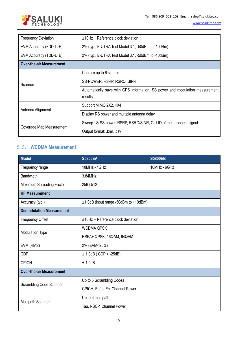

| <b>Frequency Deviation</b>      | $±10Hz +$ Reference clock deviation                                                     |  |
|---------------------------------|-----------------------------------------------------------------------------------------|--|
| EVM Accuracy (FDD-LTE)          | 2% (typ., E-UTRA Test Model 3.1, -50dBm to -10dBm)                                      |  |
| EVM Accuracy (TDD-LTE)          | 2% (typ., E-UTRA Test Model 3.1, -50dBm to -10dBm)                                      |  |
| <b>Over-the-air Measurement</b> |                                                                                         |  |
|                                 | Capture up to 6 signals                                                                 |  |
| Scanner                         | SS-POWER, RSRP, RSRQ, SINR                                                              |  |
|                                 | Automatically save with GPS information, SS power and modulation measurement<br>results |  |
| Antenna Alignment               | Support MIMO 2X2, 4X4                                                                   |  |
|                                 | Display RS power and multiple antenna delay                                             |  |
| Coverage Map Measurement        | Sweep - S-SS power, RSRP, RSRQ/SINR, Cell ID of the strongest signal                    |  |
|                                 | Output format: .kml, .csv                                                               |  |

#### <span id="page-9-0"></span>2.3. **WCDMA Measurement**

| Model                           | <b>S5800EA</b>                        | <b>S5800EB</b> |  |
|---------------------------------|---------------------------------------|----------------|--|
| Frequency range                 | 10MHz - 4GHz                          | 10MHz - 6GHz   |  |
| <b>Bandwidth</b>                | 3.84MHz                               |                |  |
| Maximum Spreading Factor        | 256 / 512                             |                |  |
| <b>RF Measurement</b>           |                                       |                |  |
| Accuracy (typ.)                 | ±1.0dB (input range -50dBm to +10dBm) |                |  |
| <b>Demodulation Measurement</b> |                                       |                |  |
| <b>Frequency Offset</b>         | ±10Hz + Reference clock deviation     |                |  |
| <b>Modulation Type</b>          | <b>WCDMA QPSK</b>                     |                |  |
|                                 | HSPA+ QPSK, 16QAM, 64QAM              |                |  |
| EVM (RMS)                       | 2% (EVM<25%)                          |                |  |
| <b>CDP</b>                      | $± 1.0dB (CDP > -25dB)$               |                |  |
| <b>CPICH</b>                    | ± 1.0dB                               |                |  |
| <b>Over-the-air Measurement</b> |                                       |                |  |
| <b>Scrambling Code Scanner</b>  | Up to 6 Scrambling Codes              |                |  |
|                                 | CPICH, Ec/lo, Ec, Channel Power       |                |  |
| <b>Multipath Scanner</b>        | Up to 6 multipath                     |                |  |
|                                 | Tau, RSCP, Channel Power              |                |  |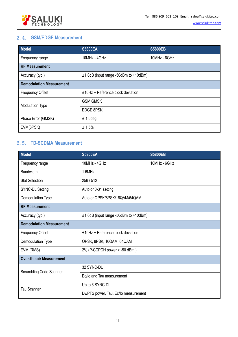

#### <span id="page-10-0"></span>2.4. **GSM/EDGE Measurement**

| <b>Model</b>                    | <b>S5800EA</b>                          | <b>S5800EB</b> |
|---------------------------------|-----------------------------------------|----------------|
| Frequency range                 | 10MHz - 4GHz                            | 10MHz - 6GHz   |
| <b>RF Measurement</b>           |                                         |                |
| Accuracy (typ.)                 | $±1.0dB$ (input range -50dBm to +10dBm) |                |
| <b>Demodulation Measurement</b> |                                         |                |
| <b>Frequency Offset</b>         | $±10Hz +$ Reference clock deviation     |                |
| <b>Modulation Type</b>          | <b>GSM GMSK</b>                         |                |
|                                 | <b>EDGE 8PSK</b>                        |                |
| Phase Error (GMSK)              | $± 1.0$ deg                             |                |
| EVM(8PSK)                       | ± 1.5%                                  |                |

#### <span id="page-10-1"></span>2.5. **TD-SCDMA Measurement**

| <b>Model</b>                    | <b>S5800EA</b>                          | <b>S5800EB</b> |  |
|---------------------------------|-----------------------------------------|----------------|--|
| Frequency range                 | 10MHz - 4GHz                            | 10MHz - 6GHz   |  |
| <b>Bandwidth</b>                | 1.6MHz                                  |                |  |
| <b>Slot Selection</b>           | 256/512                                 |                |  |
| <b>SYNC-DL Setting</b>          | Auto or 0-31 setting                    |                |  |
| Demodulation Type               | Auto or QPSK/8PSK/16QAM/64QAM           |                |  |
| <b>RF Measurement</b>           |                                         |                |  |
| Accuracy (typ.)                 | $±1.0dB$ (input range -50dBm to +10dBm) |                |  |
| <b>Demodulation Measurement</b> |                                         |                |  |
| <b>Frequency Offset</b>         | $±10Hz + Reference clock deviation$     |                |  |
| Demodulation Type               | QPSK, 8PSK, 16QAM, 64QAM                |                |  |
| EVM (RMS)                       | 2% (P-CCPCH power > -50 dBm)            |                |  |
| <b>Over-the-air Measurement</b> |                                         |                |  |
| <b>Scrambling Code Scanner</b>  | 32 SYNC-DL                              |                |  |
|                                 | Ec/lo and Tau measurement               |                |  |
| <b>Tau Scanner</b>              | Up to 6 SYNC-DL                         |                |  |
|                                 | DwPTS power, Tau, Ec/Io measurement     |                |  |